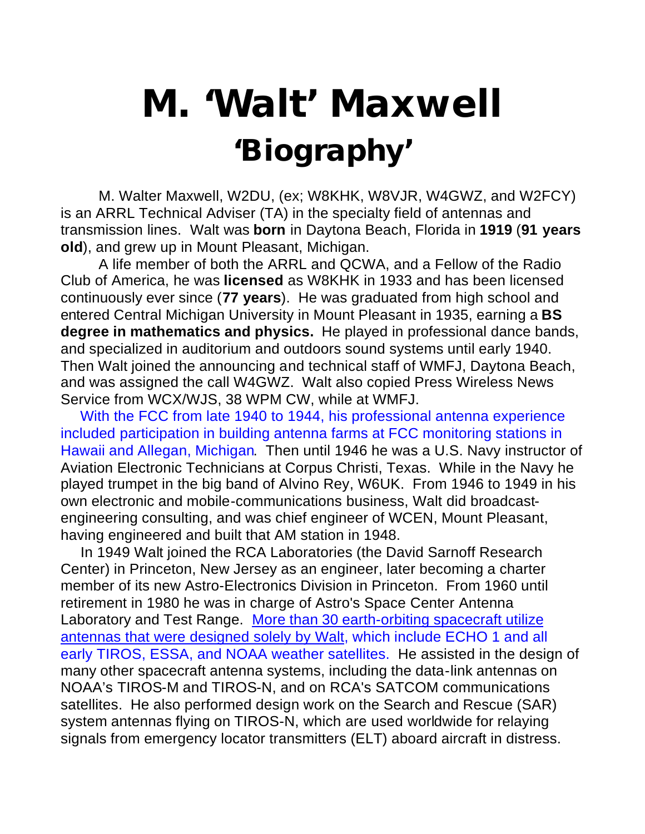## **M. 'Walt' Maxwell 'Biography'**

M. Walter Maxwell, W2DU, (ex; W8KHK, W8VJR, W4GWZ, and W2FCY) is an ARRL Technical Adviser (TA) in the specialty field of antennas and transmission lines. Walt was **born** in Daytona Beach, Florida in **1919** (**91 years old**), and grew up in Mount Pleasant, Michigan.

A life member of both the ARRL and QCWA, and a Fellow of the Radio Club of America, he was **licensed** as W8KHK in 1933 and has been licensed continuously ever since (**77 years**). He was graduated from high school and entered Central Michigan University in Mount Pleasant in 1935, earning a **BS degree in mathematics and physics.** He played in professional dance bands, and specialized in auditorium and outdoors sound systems until early 1940. Then Walt joined the announcing and technical staff of WMFJ, Daytona Beach, and was assigned the call W4GWZ. Walt also copied Press Wireless News Service from WCX/WJS, 38 WPM CW, while at WMFJ.

 With the FCC from late 1940 to 1944, his professional antenna experience included participation in building antenna farms at FCC monitoring stations in Hawaii and Allegan, Michigan. Then until 1946 he was a U.S. Navy instructor of Aviation Electronic Technicians at Corpus Christi, Texas. While in the Navy he played trumpet in the big band of Alvino Rey, W6UK. From 1946 to 1949 in his own electronic and mobile-communications business, Walt did broadcastengineering consulting, and was chief engineer of WCEN, Mount Pleasant, having engineered and built that AM station in 1948.

 In 1949 Walt joined the RCA Laboratories (the David Sarnoff Research Center) in Princeton, New Jersey as an engineer, later becoming a charter member of its new Astro-Electronics Division in Princeton. From 1960 until retirement in 1980 he was in charge of Astro's Space Center Antenna Laboratory and Test Range. More than 30 earth-orbiting spacecraft utilize antennas that were designed solely by Walt, which include ECHO 1 and all early TIROS, ESSA, and NOAA weather satellites. He assisted in the design of many other spacecraft antenna systems, including the data-link antennas on NOAA's TIROS-M and TIROS-N, and on RCA's SATCOM communications satellites. He also performed design work on the Search and Rescue (SAR) system antennas flying on TIROS-N, which are used worldwide for relaying signals from emergency locator transmitters (ELT) aboard aircraft in distress.